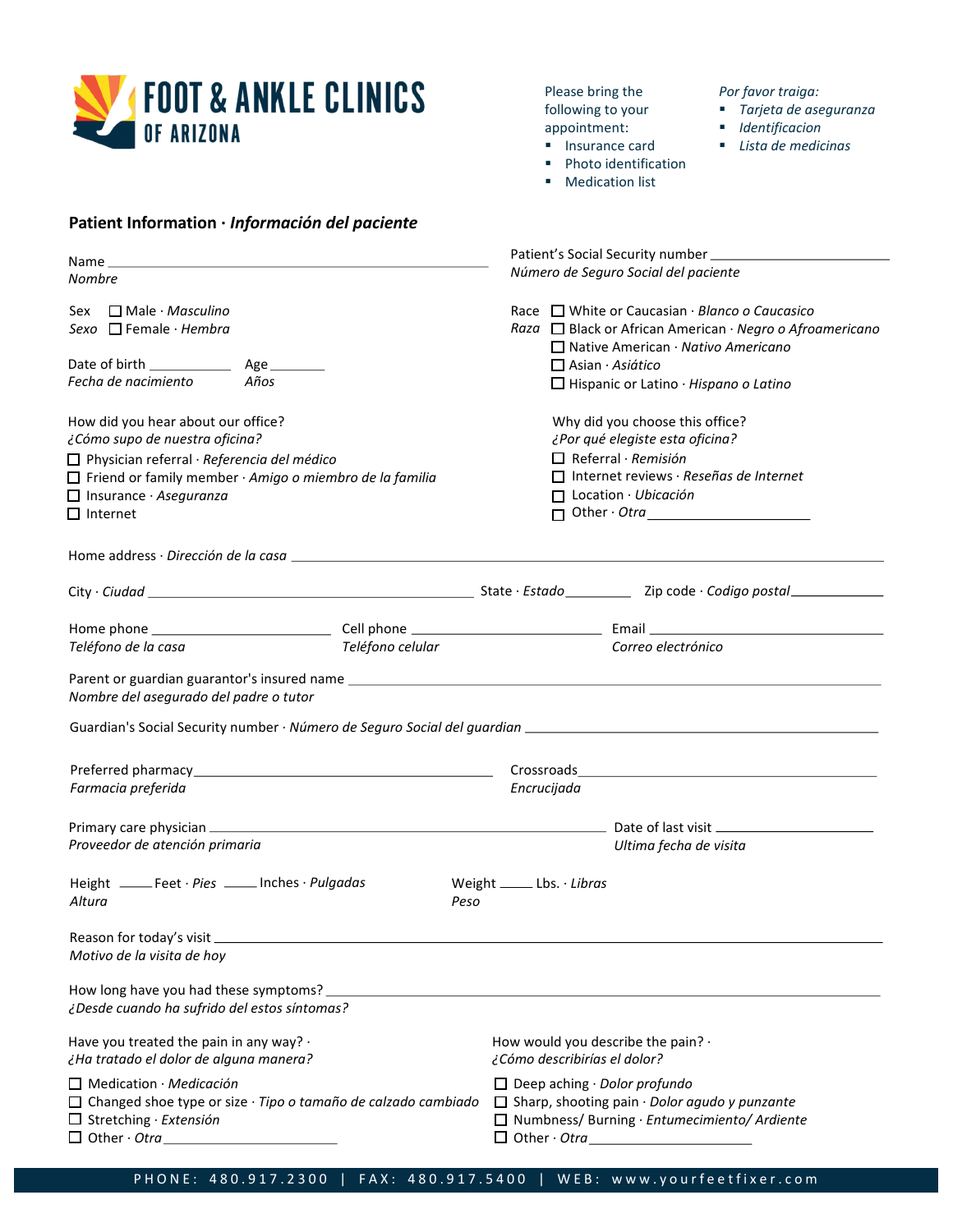

**Patient Information ·** *Información del paciente*

Please bring the following to your appointment:

- Insurance card ■ Photo identification
- 
- Medication list

*Por favor traiga:*

- § *Tarjeta de aseguranza*
- § *Identificacion*
- § *Lista de medicinas*

| Name <b>Name</b>                                                                                                                                                                                                                                 |                                                                                                                                                                                               |  |  |  |  |  |  |
|--------------------------------------------------------------------------------------------------------------------------------------------------------------------------------------------------------------------------------------------------|-----------------------------------------------------------------------------------------------------------------------------------------------------------------------------------------------|--|--|--|--|--|--|
| Nombre                                                                                                                                                                                                                                           | Número de Seguro Social del paciente                                                                                                                                                          |  |  |  |  |  |  |
| Sex □ Male · Masculino<br>Sexo $\Box$ Female $\cdot$ Hembra                                                                                                                                                                                      | Race $\Box$ White or Caucasian $\cdot$ Blanco o Caucasico<br>Raza □ Black or African American · Negro o Afroamericano<br>$\Box$ Native American · Nativo Americano<br>$\Box$ Asian · Asiático |  |  |  |  |  |  |
| Fecha de nacimiento<br>Años                                                                                                                                                                                                                      | $\Box$ Hispanic or Latino $\cdot$ Hispano o Latino                                                                                                                                            |  |  |  |  |  |  |
| How did you hear about our office?<br>¿Cómo supo de nuestra oficina?<br>□ Physician referral · Referencia del médico<br>$\Box$ Friend or family member $\cdot$ Amigo o miembro de la familia<br>$\Box$ Insurance · Aseguranza<br>$\Box$ Internet | Why did you choose this office?<br>¿Por qué elegiste esta oficina?<br>$\Box$ Referral · Remisión<br>$\Box$ Internet reviews · Reseñas de Internet<br>$\Box$ Location · Ubicación              |  |  |  |  |  |  |
| Home address · Dirección de la casa en el producto de la casa de la casa de la casa de la casa de la casa de l                                                                                                                                   |                                                                                                                                                                                               |  |  |  |  |  |  |
|                                                                                                                                                                                                                                                  |                                                                                                                                                                                               |  |  |  |  |  |  |
|                                                                                                                                                                                                                                                  |                                                                                                                                                                                               |  |  |  |  |  |  |
| Teléfono celular<br>Teléfono de la casa                                                                                                                                                                                                          | Correo electrónico                                                                                                                                                                            |  |  |  |  |  |  |
| Nombre del asegurado del padre o tutor                                                                                                                                                                                                           |                                                                                                                                                                                               |  |  |  |  |  |  |
|                                                                                                                                                                                                                                                  |                                                                                                                                                                                               |  |  |  |  |  |  |
| Farmacia preferida                                                                                                                                                                                                                               | Encrucijada                                                                                                                                                                                   |  |  |  |  |  |  |
| Proveedor de atención primaria                                                                                                                                                                                                                   | Ultima fecha de visita                                                                                                                                                                        |  |  |  |  |  |  |
|                                                                                                                                                                                                                                                  |                                                                                                                                                                                               |  |  |  |  |  |  |
| Height _____Feet · Pies _____Inches · Pulgadas<br>Altura<br>Peso                                                                                                                                                                                 | Weight _______ Lbs. $\cdot$ Libras                                                                                                                                                            |  |  |  |  |  |  |
| Reason for today's visit __<br>Motivo de la visita de hoy                                                                                                                                                                                        |                                                                                                                                                                                               |  |  |  |  |  |  |
| How long have you had these symptoms?<br>¿Desde cuando ha sufrido del estos síntomas?                                                                                                                                                            |                                                                                                                                                                                               |  |  |  |  |  |  |
| Have you treated the pain in any way? .<br>¿Ha tratado el dolor de alguna manera?                                                                                                                                                                | How would you describe the pain? .<br>¿Cómo describirías el dolor?                                                                                                                            |  |  |  |  |  |  |
| $\Box$ Medication · Medicación<br>$\Box$ Changed shoe type or size $\cdot$ Tipo o tamaño de calzado cambiado<br>$\Box$ Stretching · Extensión<br>$\Box$ Other $\cdot$ Otra                                                                       | $\Box$ Deep aching $\cdot$ Dolor profundo<br>$\Box$ Sharp, shooting pain $\cdot$ Dolor agudo y punzante<br>$\Box$ Numbness/ Burning · Entumecimiento/ Ardiente                                |  |  |  |  |  |  |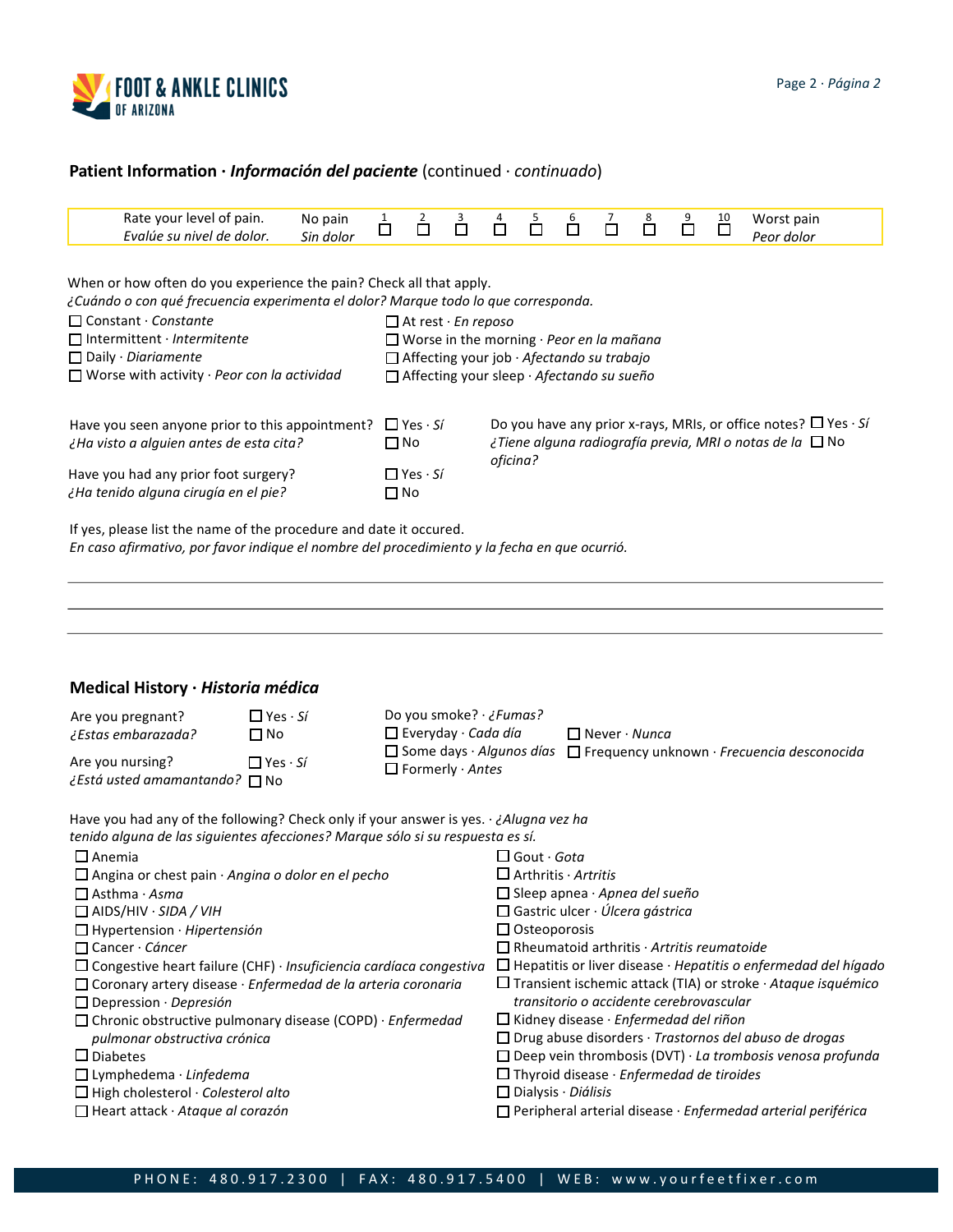

# **Patient Information ·** *Información del paciente* (continued · *continuado*)

|                                                                                                                                                                                                                                                                                                                             | No pain<br>Sin dolor                                                                                                                                                                          | $\frac{1}{\Box}$                                                            | $\overline{\square}^2$                                                                                                                                                                                                                    | $\overline{\Box}$ | $\Box$                                                                                                                        | $\overline{\overline{\square}}$                                                                                                                                                                                       | $\overline{\mathsf{D}}$                                                        | ó                                                                                                                     | $\sum_{i=1}^{8}$                                                                                                                         | Ů                                                                                                                                                              | $\overline{\square}$                                                 | Worst pain<br>Peor dolor                                                                                                                                                                                                                                                                                                                                                                                                                                                                                           |
|-----------------------------------------------------------------------------------------------------------------------------------------------------------------------------------------------------------------------------------------------------------------------------------------------------------------------------|-----------------------------------------------------------------------------------------------------------------------------------------------------------------------------------------------|-----------------------------------------------------------------------------|-------------------------------------------------------------------------------------------------------------------------------------------------------------------------------------------------------------------------------------------|-------------------|-------------------------------------------------------------------------------------------------------------------------------|-----------------------------------------------------------------------------------------------------------------------------------------------------------------------------------------------------------------------|--------------------------------------------------------------------------------|-----------------------------------------------------------------------------------------------------------------------|------------------------------------------------------------------------------------------------------------------------------------------|----------------------------------------------------------------------------------------------------------------------------------------------------------------|----------------------------------------------------------------------|--------------------------------------------------------------------------------------------------------------------------------------------------------------------------------------------------------------------------------------------------------------------------------------------------------------------------------------------------------------------------------------------------------------------------------------------------------------------------------------------------------------------|
|                                                                                                                                                                                                                                                                                                                             |                                                                                                                                                                                               |                                                                             |                                                                                                                                                                                                                                           |                   |                                                                                                                               |                                                                                                                                                                                                                       |                                                                                |                                                                                                                       |                                                                                                                                          |                                                                                                                                                                |                                                                      |                                                                                                                                                                                                                                                                                                                                                                                                                                                                                                                    |
| Have you seen anyone prior to this appointment?<br>¿Ha visto a alguien antes de esta cita?<br>Have you had any prior foot surgery?<br>¿Ha tenido alguna cirugía en el pie?                                                                                                                                                  |                                                                                                                                                                                               |                                                                             | Do you have any prior x-rays, MRIs, or office notes? $\Box$ Yes $\cdot$ Si<br>$\Box$ Yes $\cdot$ Si<br>¿Tiene alguna radiografía previa, MRI o notas de la $\Box$ No<br>$\square$ No<br>oficina?<br>$\Box$ Yes $\cdot$ Si<br>$\square$ No |                   |                                                                                                                               |                                                                                                                                                                                                                       |                                                                                |                                                                                                                       |                                                                                                                                          |                                                                                                                                                                |                                                                      |                                                                                                                                                                                                                                                                                                                                                                                                                                                                                                                    |
| If yes, please list the name of the procedure and date it occured.<br>En caso afirmativo, por favor indique el nombre del procedimiento y la fecha en que ocurrió.                                                                                                                                                          |                                                                                                                                                                                               |                                                                             |                                                                                                                                                                                                                                           |                   |                                                                                                                               |                                                                                                                                                                                                                       |                                                                                |                                                                                                                       |                                                                                                                                          |                                                                                                                                                                |                                                                      |                                                                                                                                                                                                                                                                                                                                                                                                                                                                                                                    |
| Medical History · Historia médica<br>Do you smoke? · ¿Fumas?<br>$\Box$ Yes $\cdot$ Si<br>Are you pregnant?<br>$\Box$ Everyday · Cada día<br>¿Estas embarazada?<br>$\Box$ Never $\cdot$ Nunca<br>$\Box$ No<br>$\Box$ Some days $\cdot$ Algunos días<br>$\Box$ Frequency unknown · Frecuencia desconocida<br>Are you nursing? |                                                                                                                                                                                               |                                                                             |                                                                                                                                                                                                                                           |                   |                                                                                                                               |                                                                                                                                                                                                                       |                                                                                |                                                                                                                       |                                                                                                                                          |                                                                                                                                                                |                                                                      |                                                                                                                                                                                                                                                                                                                                                                                                                                                                                                                    |
|                                                                                                                                                                                                                                                                                                                             |                                                                                                                                                                                               |                                                                             |                                                                                                                                                                                                                                           |                   |                                                                                                                               |                                                                                                                                                                                                                       |                                                                                |                                                                                                                       |                                                                                                                                          |                                                                                                                                                                |                                                                      |                                                                                                                                                                                                                                                                                                                                                                                                                                                                                                                    |
| $\Box$ Lymphedema · Linfedema<br>$\Box$ High cholesterol $\cdot$ Colesterol alto<br>□ Heart attack · Ataque al corazón                                                                                                                                                                                                      |                                                                                                                                                                                               |                                                                             | $\Box$ Dialysis $\cdot$ Diálisis<br>□ Peripheral arterial disease · Enfermedad arterial periférica                                                                                                                                        |                   |                                                                                                                               |                                                                                                                                                                                                                       |                                                                                |                                                                                                                       |                                                                                                                                          |                                                                                                                                                                |                                                                      |                                                                                                                                                                                                                                                                                                                                                                                                                                                                                                                    |
|                                                                                                                                                                                                                                                                                                                             | Rate your level of pain.<br>Evalúe su nivel de dolor.<br>$\Box$ Intermittent · Intermitente<br>¿Está usted amamantando? □ No<br>□ Hypertension · Hipertensión<br>pulmonar obstructiva crónica | $\Box$ Worse with activity · Peor con la actividad<br>$\Box$ Yes $\cdot$ Si | $\Box$ Angina or chest pain $\cdot$ Angina o dolor en el pecho                                                                                                                                                                            |                   | □ Coronary artery disease · Enfermedad de la arteria coronaria<br>□ Chronic obstructive pulmonary disease (COPD) · Enfermedad | When or how often do you experience the pain? Check all that apply.<br>$\Box$ At rest $\cdot$ En reposo<br>$\Box$ Formerly $\cdot$ Antes<br>$\Box$ Congestive heart failure (CHF) · Insuficiencia cardíaca congestiva | tenido alguna de las siguientes afecciones? Marque sólo si su respuesta es sí. | Have you had any of the following? Check only if your answer is yes. <i>Alugna vez ha</i><br>$\Box$ Gout $\cdot$ Gota | ¿Cuándo o con qué frecuencia experimenta el dolor? Marque todo lo que corresponda.<br>$\Box$ Arthritis · Artritis<br>$\Box$ Osteoporosis | $\Box$ Worse in the morning $\cdot$ Peor en la mañana<br>$\Box$ Affecting your job $\cdot$ Afectando su trabajo<br>□ Affecting your sleep · Afectando su sueño | □ Sleep apnea · Apnea del sueño<br>□ Gastric ulcer · Úlcera gástrica | $\Box$ Rheumatoid arthritis $\cdot$ Artritis reumatoide<br>$\Box$ Hepatitis or liver disease $\cdot$ Hepatitis o enfermedad del hígado<br>$\Box$ Transient ischemic attack (TIA) or stroke $\cdot$ Ataque isquémico<br>transitorio o accidente cerebrovascular<br>$\Box$ Kidney disease $\cdot$ Enfermedad del riñon<br>□ Drug abuse disorders · Trastornos del abuso de drogas<br>$\Box$ Deep vein thrombosis (DVT) $\cdot$ La trombosis venosa profunda<br>$\Box$ Thyroid disease $\cdot$ Enfermedad de tiroides |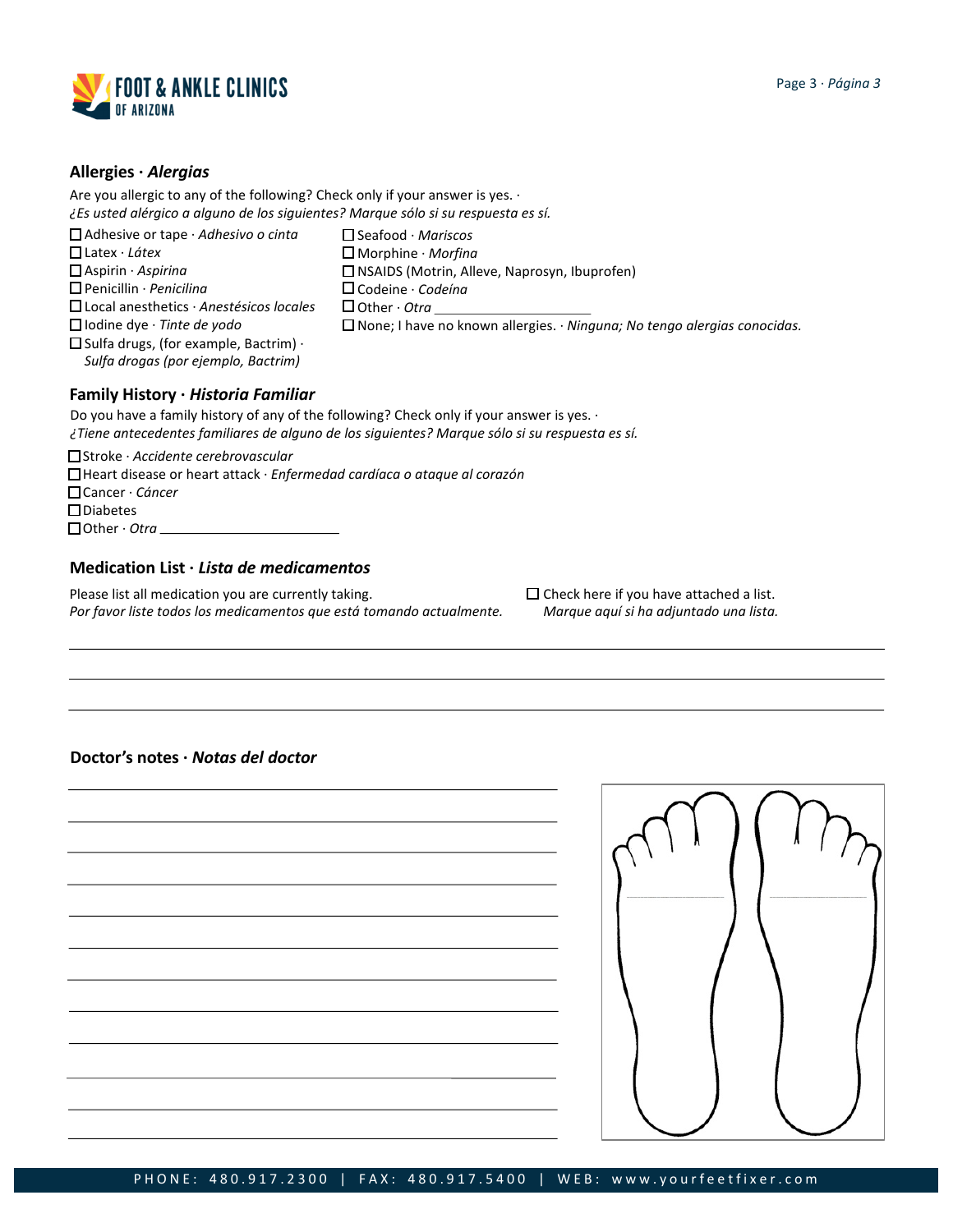

### **Allergies ·** *Alergias*

Are you allergic to any of the following? Check only if your answer is yes.  $\cdot$ *¿Es usted alérgico a alguno de los siguientes? Marque sólo si su respuesta es sí.*

- Adhesive or tape · *Adhesivo o cinta*
- Latex · *Látex*
- Aspirin · *Aspirina*
- Penicillin · *Penicilina*
- Local anesthetics · *Anestésicos locales*
- Iodine dye · *Tinte de yodo*
- 
- Codeine · *Codeína*

NSAIDS (Motrin, Alleve, Naprosyn, Ibuprofen)

 $\Box$  Other  $\cdot$  Otra

Seafood · *Mariscos* Morphine · *Morfina*

- None; I have no known allergies. · *Ninguna; No tengo alergias conocidas.*
- $\square$  Sulfa drugs, (for example, Bactrim)  $\cdot$ *Sulfa drogas (por ejemplo, Bactrim)*

## **Family History ·** *Historia Familiar*

Do you have a family history of any of the following? Check only if your answer is yes. · *¿Tiene antecedentes familiares de alguno de los siguientes? Marque sólo si su respuesta es sí.*

Stroke · *Accidente cerebrovascular*

- Heart disease or heart attack · *Enfermedad cardíaca o ataque al corazón*
- Cancer · *Cáncer*
- Diabetes

□ Other · Otra

### **Medication List ·** *Lista de medicamentos*

Please list all medication you are currently taking. *Por favor liste todos los medicamentos que está tomando actualmente.*  $\Box$  Check here if you have attached a list. *Marque aquí si ha adjuntado una lista.*

## **Doctor's notes ·** *Notas del doctor*